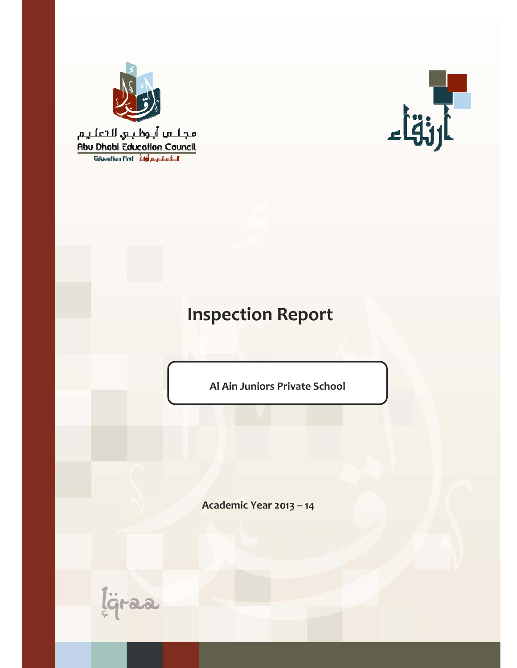

مجلس أبوظبي للتعليم Abu Dhabi Education Council Educulium First 14 a 1 ci F



# **Inspection Report**

**Al Ain Juniors Private School**

**Academic Year 2013 – 14**

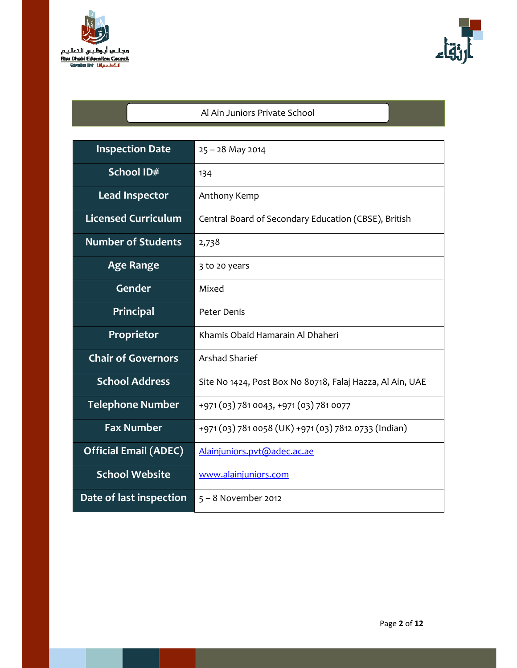



# Al Ain Juniors Private School

| <b>Inspection Date</b>                                                    | $25 - 28$ May 2014                                        |  |
|---------------------------------------------------------------------------|-----------------------------------------------------------|--|
| School ID#                                                                | 134                                                       |  |
| <b>Lead Inspector</b>                                                     | Anthony Kemp                                              |  |
| <b>Licensed Curriculum</b>                                                | Central Board of Secondary Education (CBSE), British      |  |
| <b>Number of Students</b>                                                 | 2,738                                                     |  |
| <b>Age Range</b>                                                          | 3 to 20 years                                             |  |
| Gender                                                                    | Mixed                                                     |  |
| <b>Principal</b>                                                          | Peter Denis                                               |  |
| Proprietor                                                                | Khamis Obaid Hamarain Al Dhaheri                          |  |
| <b>Chair of Governors</b>                                                 | <b>Arshad Sharief</b>                                     |  |
| <b>School Address</b>                                                     | Site No 1424, Post Box No 80718, Falaj Hazza, Al Ain, UAE |  |
| <b>Telephone Number</b>                                                   | +971 (03) 781 0043, +971 (03) 781 0077                    |  |
| <b>Fax Number</b><br>+971 (03) 781 0058 (UK) +971 (03) 7812 0733 (Indian) |                                                           |  |
| <b>Official Email (ADEC)</b>                                              | Alainjuniors.pvt@adec.ac.ae                               |  |
| <b>School Website</b>                                                     | www.alainjuniors.com                                      |  |
| Date of last inspection                                                   | $5 - 8$ November 2012                                     |  |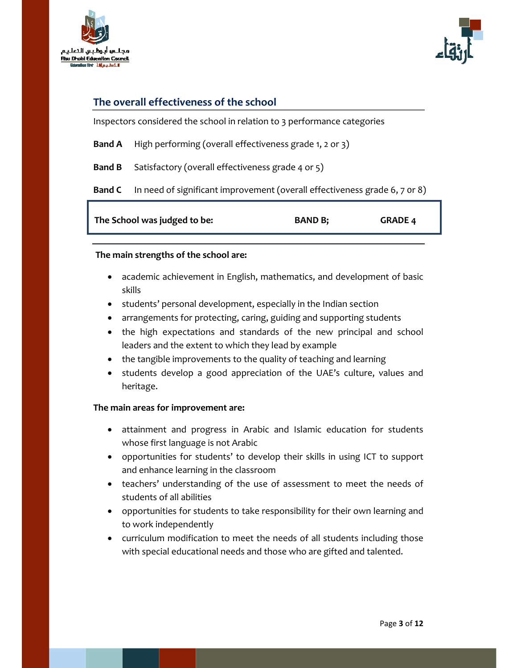



## **The overall effectiveness of the school**

Inspectors considered the school in relation to 3 performance categories

- **Band A**  High performing (overall effectiveness grade 1, 2 or 3)
- **Band B** Satisfactory (overall effectiveness grade 4 or 5)

**Band C** In need of significant improvement (overall effectiveness grade 6, 7 0r 8)

| The School was judged to be: | <b>BAND B;</b> | <b>GRADE 4</b> |
|------------------------------|----------------|----------------|
|                              |                |                |

#### **The main strengths of the school are:**

- academic achievement in English, mathematics, and development of basic skills
- students' personal development, especially in the Indian section
- arrangements for protecting, caring, guiding and supporting students
- the high expectations and standards of the new principal and school leaders and the extent to which they lead by example
- the tangible improvements to the quality of teaching and learning
- students develop a good appreciation of the UAE's culture, values and heritage.

#### **The main areas for improvement are:**

- attainment and progress in Arabic and Islamic education for students whose first language is not Arabic
- opportunities for students' to develop their skills in using ICT to support and enhance learning in the classroom
- teachers' understanding of the use of assessment to meet the needs of students of all abilities
- opportunities for students to take responsibility for their own learning and to work independently
- curriculum modification to meet the needs of all students including those with special educational needs and those who are gifted and talented.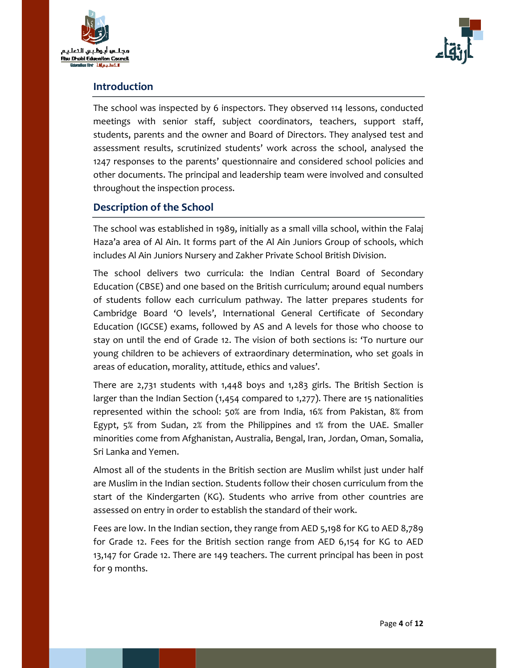



### **Introduction**

The school was inspected by 6 inspectors. They observed 114 lessons, conducted meetings with senior staff, subject coordinators, teachers, support staff, students, parents and the owner and Board of Directors. They analysed test and assessment results, scrutinized students' work across the school, analysed the 1247 responses to the parents' questionnaire and considered school policies and other documents. The principal and leadership team were involved and consulted throughout the inspection process.

## **Description of the School**

The school was established in 1989, initially as a small villa school, within the Falaj Haza'a area of Al Ain. It forms part of the Al Ain Juniors Group of schools, which includes Al Ain Juniors Nursery and Zakher Private School British Division.

The school delivers two curricula: the Indian Central Board of Secondary Education (CBSE) and one based on the British curriculum; around equal numbers of students follow each curriculum pathway. The latter prepares students for Cambridge Board 'O levels', International General Certificate of Secondary Education (IGCSE) exams, followed by AS and A levels for those who choose to stay on until the end of Grade 12. The vision of both sections is: 'To nurture our young children to be achievers of extraordinary determination, who set goals in areas of education, morality, attitude, ethics and values'.

There are 2,731 students with 1,448 boys and 1,283 girls. The British Section is larger than the Indian Section (1,454 compared to 1,277). There are 15 nationalities represented within the school: 50% are from India, 16% from Pakistan, 8% from Egypt, 5% from Sudan, 2% from the Philippines and 1% from the UAE. Smaller minorities come from Afghanistan, Australia, Bengal, Iran, Jordan, Oman, Somalia, Sri Lanka and Yemen.

Almost all of the students in the British section are Muslim whilst just under half are Muslim in the Indian section. Students follow their chosen curriculum from the start of the Kindergarten (KG). Students who arrive from other countries are assessed on entry in order to establish the standard of their work.

Fees are low. In the Indian section, they range from AED 5,198 for KG to AED 8,789 for Grade 12. Fees for the British section range from AED 6,154 for KG to AED 13,147 for Grade 12. There are 149 teachers. The current principal has been in post for 9 months.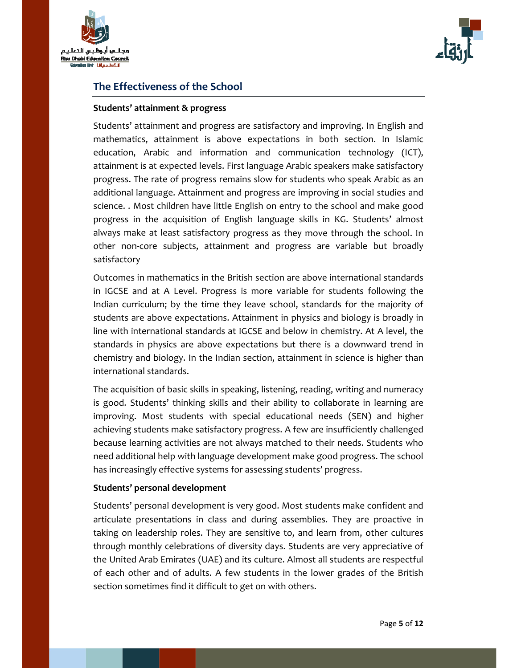



# **The Effectiveness of the School**

#### **Students' attainment & progress**

Students' attainment and progress are satisfactory and improving. In English and mathematics, attainment is above expectations in both section. In Islamic education, Arabic and information and communication technology (ICT), attainment is at expected levels. First language Arabic speakers make satisfactory progress. The rate of progress remains slow for students who speak Arabic as an additional language. Attainment and progress are improving in social studies and science. . Most children have little English on entry to the school and make good progress in the acquisition of English language skills in KG. Students' almost always make at least satisfactory progress as they move through the school. In other non‐core subjects, attainment and progress are variable but broadly satisfactory

Outcomes in mathematics in the British section are above international standards in IGCSE and at A Level. Progress is more variable for students following the Indian curriculum; by the time they leave school, standards for the majority of students are above expectations. Attainment in physics and biology is broadly in line with international standards at IGCSE and below in chemistry. At A level, the standards in physics are above expectations but there is a downward trend in chemistry and biology. In the Indian section, attainment in science is higher than international standards.

The acquisition of basic skills in speaking, listening, reading, writing and numeracy is good. Students' thinking skills and their ability to collaborate in learning are improving. Most students with special educational needs (SEN) and higher achieving students make satisfactory progress. A few are insufficiently challenged because learning activities are not always matched to their needs. Students who need additional help with language development make good progress. The school has increasingly effective systems for assessing students' progress.

#### **Students' personal development**

Students' personal development is very good. Most students make confident and articulate presentations in class and during assemblies. They are proactive in taking on leadership roles. They are sensitive to, and learn from, other cultures through monthly celebrations of diversity days. Students are very appreciative of the United Arab Emirates (UAE) and its culture. Almost all students are respectful of each other and of adults. A few students in the lower grades of the British section sometimes find it difficult to get on with others.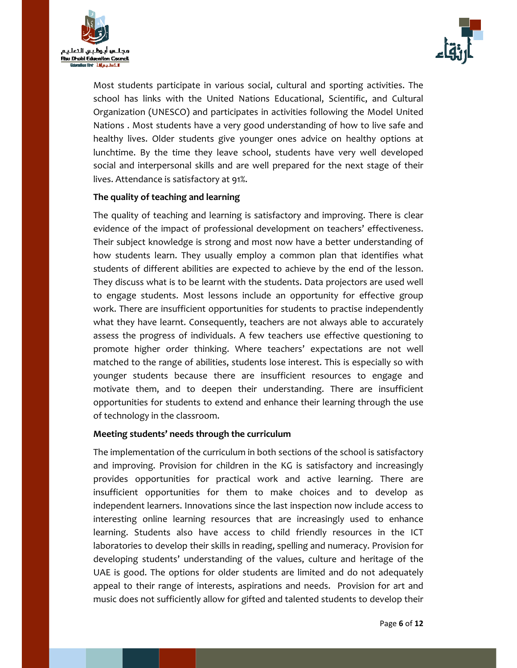



Most students participate in various social, cultural and sporting activities. The school has links with the United Nations Educational, Scientific, and Cultural Organization (UNESCO) and participates in activities following the Model United Nations . Most students have a very good understanding of how to live safe and healthy lives. Older students give younger ones advice on healthy options at lunchtime. By the time they leave school, students have very well developed social and interpersonal skills and are well prepared for the next stage of their lives. Attendance is satisfactory at 91%.

#### **The quality of teaching and learning**

The quality of teaching and learning is satisfactory and improving. There is clear evidence of the impact of professional development on teachers' effectiveness. Their subject knowledge is strong and most now have a better understanding of how students learn. They usually employ a common plan that identifies what students of different abilities are expected to achieve by the end of the lesson. They discuss what is to be learnt with the students. Data projectors are used well to engage students. Most lessons include an opportunity for effective group work. There are insufficient opportunities for students to practise independently what they have learnt. Consequently, teachers are not always able to accurately assess the progress of individuals. A few teachers use effective questioning to promote higher order thinking. Where teachers' expectations are not well matched to the range of abilities, students lose interest. This is especially so with younger students because there are insufficient resources to engage and motivate them, and to deepen their understanding. There are insufficient opportunities for students to extend and enhance their learning through the use of technology in the classroom.

#### **Meeting students' needs through the curriculum**

The implementation of the curriculum in both sections of the school is satisfactory and improving. Provision for children in the KG is satisfactory and increasingly provides opportunities for practical work and active learning. There are insufficient opportunities for them to make choices and to develop as independent learners. Innovations since the last inspection now include access to interesting online learning resources that are increasingly used to enhance learning. Students also have access to child friendly resources in the ICT laboratories to develop their skills in reading, spelling and numeracy. Provision for developing students' understanding of the values, culture and heritage of the UAE is good. The options for older students are limited and do not adequately appeal to their range of interests, aspirations and needs. Provision for art and music does not sufficiently allow for gifted and talented students to develop their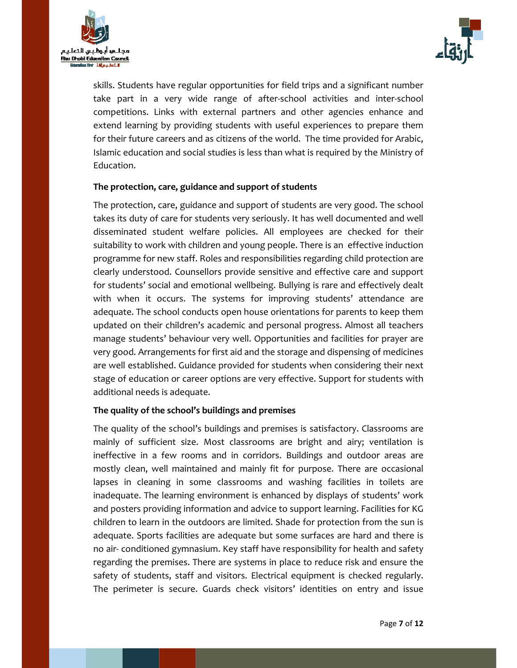



skills. Students have regular opportunities for field trips and a significant number take part in a very wide range of after‐school activities and inter‐school competitions. Links with external partners and other agencies enhance and extend learning by providing students with useful experiences to prepare them for their future careers and as citizens of the world. The time provided for Arabic, Islamic education and social studies is less than what is required by the Ministry of Education.

#### **The protection, care, guidance and support of students**

The protection, care, guidance and support of students are very good. The school takes its duty of care for students very seriously. It has well documented and well disseminated student welfare policies. All employees are checked for their suitability to work with children and young people. There is an effective induction programme for new staff. Roles and responsibilities regarding child protection are clearly understood. Counsellors provide sensitive and effective care and support for students' social and emotional wellbeing. Bullying is rare and effectively dealt with when it occurs. The systems for improving students' attendance are adequate. The school conducts open house orientations for parents to keep them updated on their children's academic and personal progress. Almost all teachers manage students' behaviour very well. Opportunities and facilities for prayer are very good. Arrangements for first aid and the storage and dispensing of medicines are well established. Guidance provided for students when considering their next stage of education or career options are very effective. Support for students with additional needs is adequate.

#### **The quality of the school's buildings and premises**

The quality of the school's buildings and premises is satisfactory. Classrooms are mainly of sufficient size. Most classrooms are bright and airy; ventilation is ineffective in a few rooms and in corridors. Buildings and outdoor areas are mostly clean, well maintained and mainly fit for purpose. There are occasional lapses in cleaning in some classrooms and washing facilities in toilets are inadequate. The learning environment is enhanced by displays of students' work and posters providing information and advice to support learning. Facilities for KG children to learn in the outdoors are limited. Shade for protection from the sun is adequate. Sports facilities are adequate but some surfaces are hard and there is no air‐ conditioned gymnasium. Key staff have responsibility for health and safety regarding the premises. There are systems in place to reduce risk and ensure the safety of students, staff and visitors. Electrical equipment is checked regularly. The perimeter is secure. Guards check visitors' identities on entry and issue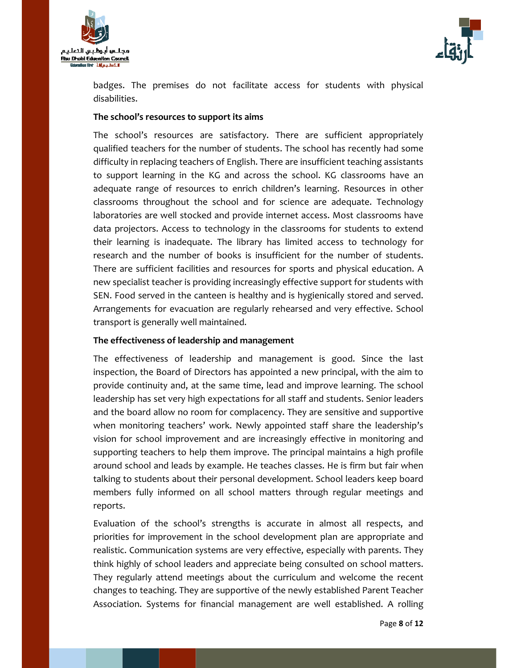



badges. The premises do not facilitate access for students with physical disabilities.

#### **The school's resources to support its aims**

The school's resources are satisfactory. There are sufficient appropriately qualified teachers for the number of students. The school has recently had some difficulty in replacing teachers of English. There are insufficient teaching assistants to support learning in the KG and across the school. KG classrooms have an adequate range of resources to enrich children's learning. Resources in other classrooms throughout the school and for science are adequate. Technology laboratories are well stocked and provide internet access. Most classrooms have data projectors. Access to technology in the classrooms for students to extend their learning is inadequate. The library has limited access to technology for research and the number of books is insufficient for the number of students. There are sufficient facilities and resources for sports and physical education. A new specialist teacher is providing increasingly effective support for students with SEN. Food served in the canteen is healthy and is hygienically stored and served. Arrangements for evacuation are regularly rehearsed and very effective. School transport is generally well maintained.

#### **The effectiveness of leadership and management**

The effectiveness of leadership and management is good. Since the last inspection, the Board of Directors has appointed a new principal, with the aim to provide continuity and, at the same time, lead and improve learning. The school leadership has set very high expectations for all staff and students. Senior leaders and the board allow no room for complacency. They are sensitive and supportive when monitoring teachers' work. Newly appointed staff share the leadership's vision for school improvement and are increasingly effective in monitoring and supporting teachers to help them improve. The principal maintains a high profile around school and leads by example. He teaches classes. He is firm but fair when talking to students about their personal development. School leaders keep board members fully informed on all school matters through regular meetings and reports.

Evaluation of the school's strengths is accurate in almost all respects, and priorities for improvement in the school development plan are appropriate and realistic. Communication systems are very effective, especially with parents. They think highly of school leaders and appreciate being consulted on school matters. They regularly attend meetings about the curriculum and welcome the recent changes to teaching. They are supportive of the newly established Parent Teacher Association. Systems for financial management are well established. A rolling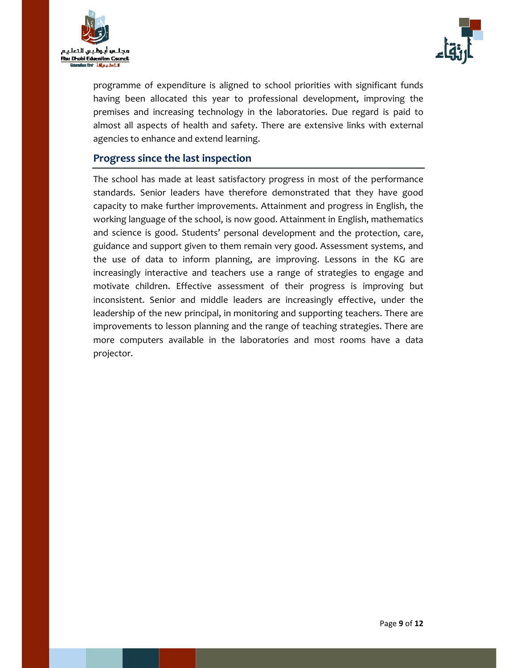



programme of expenditure is aligned to school priorities with significant funds having been allocated this year to professional development, improving the premises and increasing technology in the laboratories. Due regard is paid to almost all aspects of health and safety. There are extensive links with external agencies to enhance and extend learning.

## **Progress since the last inspection**

The school has made at least satisfactory progress in most of the performance standards. Senior leaders have therefore demonstrated that they have good capacity to make further improvements. Attainment and progress in English, the working language of the school, is now good. Attainment in English, mathematics and science is good. Students' personal development and the protection, care, guidance and support given to them remain very good. Assessment systems, and the use of data to inform planning, are improving. Lessons in the KG are increasingly interactive and teachers use a range of strategies to engage and motivate children. Effective assessment of their progress is improving but inconsistent. Senior and middle leaders are increasingly effective, under the leadership of the new principal, in monitoring and supporting teachers. There are improvements to lesson planning and the range of teaching strategies. There are more computers available in the laboratories and most rooms have a data projector.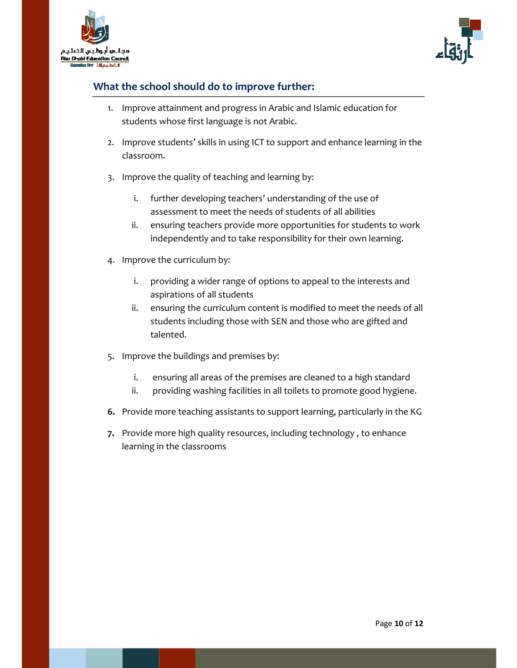



# **What the school should do to improve further:**

- 1. Improve attainment and progress in Arabic and Islamic education for students whose first language is not Arabic.
- 2. Improve students' skills in using ICT to support and enhance learning in the classroom.
- 3. Improve the quality of teaching and learning by:
	- i. further developing teachers' understanding of the use of assessment to meet the needs of students of all abilities
	- ii. ensuring teachers provide more opportunities for students to work independently and to take responsibility for their own learning.
- 4. Improve the curriculum by:
	- i. providing a wider range of options to appeal to the interests and aspirations of all students
	- ii. ensuring the curriculum content is modified to meet the needs of all students including those with SEN and those who are gifted and talented.
- 5. Improve the buildings and premises by:
	- i. ensuring all areas of the premises are cleaned to a high standard
	- ii. providing washing facilities in all toilets to promote good hygiene.
- **6.** Provide more teaching assistants to support learning, particularly in the KG
- **7.** Provide more high quality resources, including technology , to enhance learning in the classrooms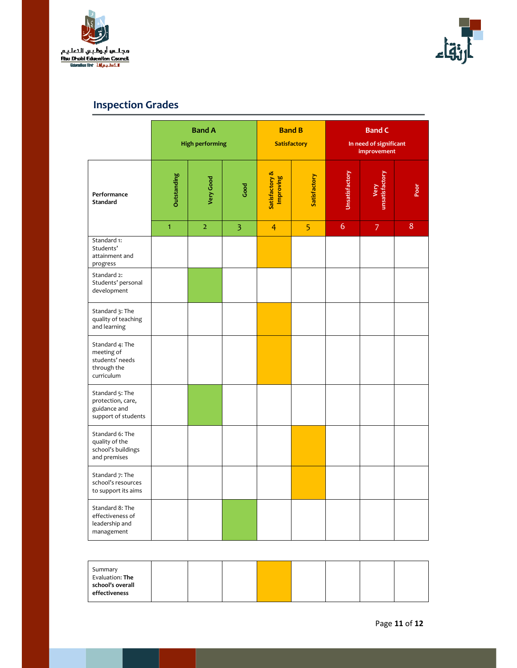



# **Inspection Grades**

|                                                                               |              | <b>Band A</b><br><b>High performing</b> |                | <b>Band B</b>               | <b>Satisfactory</b> | <b>Band C</b><br>In need of significant<br>improvement |                        |    |
|-------------------------------------------------------------------------------|--------------|-----------------------------------------|----------------|-----------------------------|---------------------|--------------------------------------------------------|------------------------|----|
| Performance<br><b>Standard</b>                                                | Outstanding  | Very Good                               | Good           | Satisfactory &<br>Improving | Satisfactory        | Unsatisfactory                                         | Very<br>unsatisfactory | ōo |
|                                                                               | $\mathbf{1}$ | $\overline{2}$                          | $\overline{3}$ | $\overline{4}$              | 5                   | $\overline{6}$                                         | $\overline{7}$         | 8  |
| Standard 1:<br>Students'<br>attainment and<br>progress                        |              |                                         |                |                             |                     |                                                        |                        |    |
| Standard 2:<br>Students' personal<br>development                              |              |                                         |                |                             |                     |                                                        |                        |    |
| Standard 3: The<br>quality of teaching<br>and learning                        |              |                                         |                |                             |                     |                                                        |                        |    |
| Standard 4: The<br>meeting of<br>students' needs<br>through the<br>curriculum |              |                                         |                |                             |                     |                                                        |                        |    |
| Standard 5: The<br>protection, care,<br>guidance and<br>support of students   |              |                                         |                |                             |                     |                                                        |                        |    |
| Standard 6: The<br>quality of the<br>school's buildings<br>and premises       |              |                                         |                |                             |                     |                                                        |                        |    |
| Standard 7: The<br>school's resources<br>to support its aims                  |              |                                         |                |                             |                     |                                                        |                        |    |
| Standard 8: The<br>effectiveness of<br>leadership and<br>management           |              |                                         |                |                             |                     |                                                        |                        |    |

| Summary<br>Evaluation: The |  |  |  |  |
|----------------------------|--|--|--|--|
| school's overall           |  |  |  |  |
| effectiveness              |  |  |  |  |
|                            |  |  |  |  |